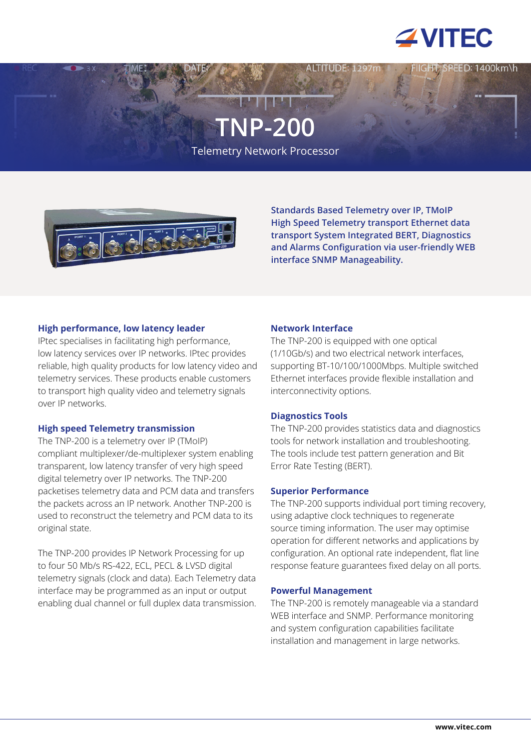

ED: 1400km\h

# **TNP-200**

Telemetry Network Processor



**Standards Based Telemetry over IP, TMoIP High Speed Telemetry transport Ethernet data transport System Integrated BERT, Diagnostics and Alarms Configuration via user-friendly WEB interface SNMP Manageability.**

# **High performance, low latency leader**

IPtec specialises in facilitating high performance, low latency services over IP networks. IPtec provides reliable, high quality products for low latency video and telemetry services. These products enable customers to transport high quality video and telemetry signals over IP networks.

# **High speed Telemetry transmission**

The TNP-200 is a telemetry over IP (TMoIP) compliant multiplexer/de-multiplexer system enabling transparent, low latency transfer of very high speed digital telemetry over IP networks. The TNP-200 packetises telemetry data and PCM data and transfers the packets across an IP network. Another TNP-200 is used to reconstruct the telemetry and PCM data to its original state.

The TNP-200 provides IP Network Processing for up to four 50 Mb/s RS-422, ECL, PECL & LVSD digital telemetry signals (clock and data). Each Telemetry data interface may be programmed as an input or output enabling dual channel or full duplex data transmission.

# **Network Interface**

The TNP-200 is equipped with one optical (1/10Gb/s) and two electrical network interfaces, supporting BT-10/100/1000Mbps. Multiple switched Ethernet interfaces provide flexible installation and interconnectivity options.

# **Diagnostics Tools**

The TNP-200 provides statistics data and diagnostics tools for network installation and troubleshooting. The tools include test pattern generation and Bit Error Rate Testing (BERT).

## **Superior Performance**

The TNP-200 supports individual port timing recovery, using adaptive clock techniques to regenerate source timing information. The user may optimise operation for different networks and applications by configuration. An optional rate independent, flat line response feature guarantees fixed delay on all ports.

## **Powerful Management**

The TNP-200 is remotely manageable via a standard WEB interface and SNMP. Performance monitoring and system configuration capabilities facilitate installation and management in large networks.